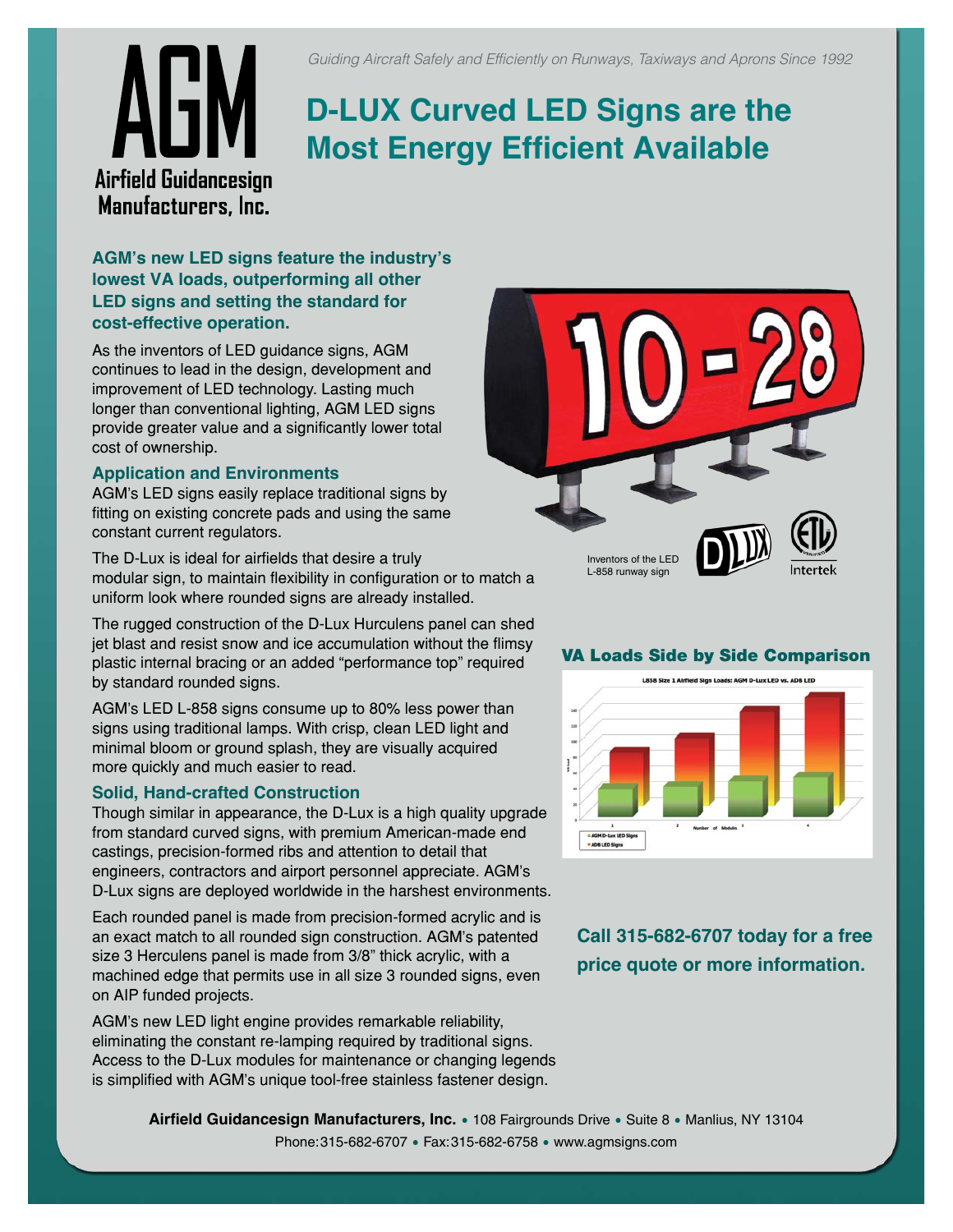# **D-LUX Curved LED Signs are the Most Energy Efficient Available**

**Airfield Guidancesion** Manufacturers, Inc.

#### **AGM's new LED signs feature the industry's lowest VA loads, outperforming all other LED signs and setting the standard for cost-effective operation.**

As the inventors of LED guidance signs, AGM continues to lead in the design, development and improvement of LED technology. Lasting much longer than conventional lighting, AGM LED signs provide greater value and a significantly lower total cost of ownership.

#### **Application and Environments**

AGM's LED signs easily replace traditional signs by fitting on existing concrete pads and using the same constant current regulators.

The D-Lux is ideal for airfields that desire a truly modular sign, to maintain flexibility in configuration or to match a uniform look where rounded signs are already installed.

The rugged construction of the D-Lux Hurculens panel can shed jet blast and resist snow and ice accumulation without the flimsy plastic internal bracing or an added "performance top" required by standard rounded signs.

AGM's LED L-858 signs consume up to 80% less power than signs using traditional lamps. With crisp, clean LED light and minimal bloom or ground splash, they are visually acquired more quickly and much easier to read.

#### **Solid, Hand-crafted Construction**

Though similar in appearance, the D-Lux is a high quality upgrade from standard curved signs, with premium American-made end castings, precision-formed ribs and attention to detail that engineers, contractors and airport personnel appreciate. AGM's D-Lux signs are deployed worldwide in the harshest environments.

Each rounded panel is made from precision-formed acrylic and is an exact match to all rounded sign construction. AGM's patented size 3 Herculens panel is made from 3/8" thick acrylic, with a machined edge that permits use in all size 3 rounded signs, even on AIP funded projects.

AGM's new LED light engine provides remarkable reliability, eliminating the constant re-lamping required by traditional signs. Access to the D-Lux modules for maintenance or changing legends is simplified with AGM's unique tool-free stainless fastener design.



#### VA Loads Side by Side Comparison



**Call 315-682-6707 today for a free price quote or more information.**

**Airfield Guidancesign Manufacturers, Inc.** • 108 Fairgrounds Drive • Suite 8 • Manlius, NY 13104 Phone:315-682-6707 • Fax:315-682-6758 • www.agmsigns.com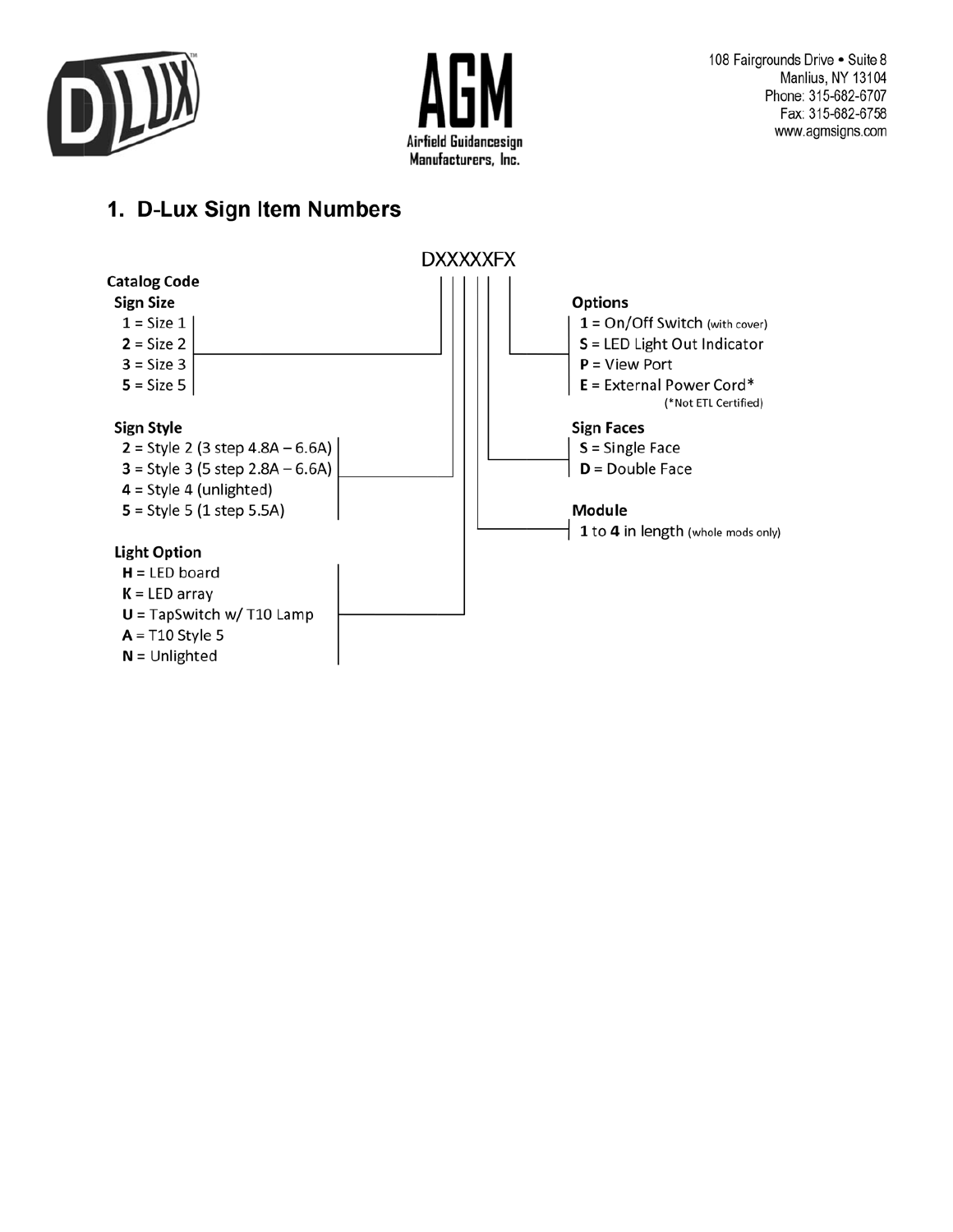



## 1. D-Lux Sign Item Numbers

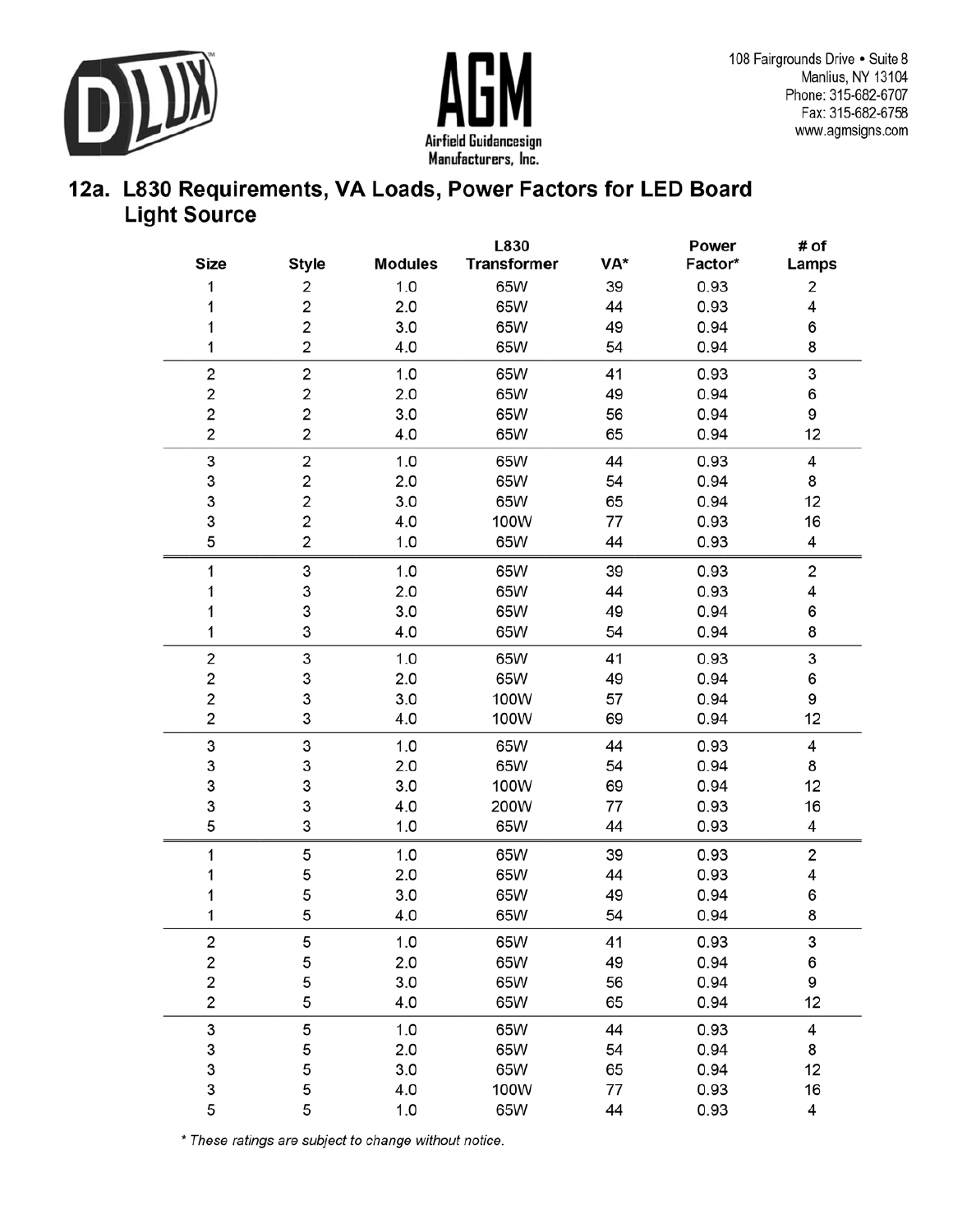



### 12a. L830 Requirements, VA Loads, Power Factors for LED Board **Light Source**

|                         |                         |                | L830               |     | Power   | # of  |
|-------------------------|-------------------------|----------------|--------------------|-----|---------|-------|
| <b>Size</b>             | <b>Style</b>            | <b>Modules</b> | <b>Transformer</b> | VA* | Factor* | Lamps |
| 1                       | 2                       | 1.0            | 65W                | 39  | 0.93    | 2     |
| 1                       | 2                       | 2.0            | 65W                | 44  | 0.93    | 4     |
| 1                       | 2                       | 3.0            | 65W                | 49  | 0.94    | 6     |
| 1                       | 2                       | 4.0            | 65W                | 54  | 0.94    | 8     |
| 2                       | 2                       | 1.0            | 65W                | 41  | 0.93    | 3     |
| $\overline{\mathbf{c}}$ | $\overline{\mathbf{c}}$ | 2.0            | 65W                | 49  | 0.94    | 6     |
| $\overline{\mathbf{c}}$ | 2                       | 3.0            | 65W                | 56  | 0.94    | 9     |
| $\overline{\mathbf{c}}$ | 2                       | 4.0            | 65W                | 65  | 0.94    | 12    |
| 3                       | 2                       | 1.0            | 65W                | 44  | 0.93    | 4     |
| 3                       | 2                       | 2.0            | 65W                | 54  | 0.94    | 8     |
| 3                       | $\overline{\mathbf{c}}$ | 3.0            | 65W                | 65  | 0.94    | 12    |
| 3                       | 2                       | 4.0            | 100W               | 77  | 0.93    | 16    |
| 5                       | 2                       | 1.0            | 65W                | 44  | 0.93    | 4     |
| 1                       | 3                       | 1.0            | 65W                | 39  | 0.93    | 2     |
| 1                       | 3                       | 2.0            | 65W                | 44  | 0.93    | 4     |
| 1                       | 3                       | 3.0            | 65W                | 49  | 0.94    | 6     |
| 1                       | 3                       | 4.0            | 65W                | 54  | 0.94    | 8     |
| 2                       | 3                       | 1.0            | 65W                | 41  | 0.93    | 3     |
| 2                       | 3                       | 2.0            | 65W                | 49  | 0.94    | 6     |
| 2                       | 3                       | 3.0            | 100W               | 57  | 0.94    | 9     |
| $\overline{\mathbf{c}}$ | 3                       | 4.0            | 100W               | 69  | 0.94    | 12    |
| 3                       | 3                       | 1.0            | 65W                | 44  | 0.93    | 4     |
| 3                       | 3                       | 2.0            | 65W                | 54  | 0.94    | 8     |
| 3                       | 3                       | 3.0            | 100W               | 69  | 0.94    | 12    |
| 3                       | 3                       | 4.0            | 200W               | 77  | 0.93    | 16    |
| 5                       | 3                       | 1.0            | 65W                | 44  | 0.93    | 4     |
| 1                       | 5                       | 1.0            | 65W                | 39  | 0.93    | 2     |
| 1                       | 5                       | 2.0            | 65W                | 44  | 0.93    | 4     |
| 1                       | 5                       | 3.0            | 65W                | 49  | 0.94    | 6     |
| 1                       | 5                       | 4.0            | 65W                | 54  | 0.94    | 8     |
| 2                       | 5                       | 1.0            | 65W                | 41  | 0.93    | 3     |
| $\overline{\mathbf{c}}$ | 5                       | 2.0            | 65W                | 49  | 0.94    | 6     |
| $\overline{\mathbf{c}}$ | 5                       | 3.0            | 65W                | 56  | 0.94    | 9     |
| 2                       | 5                       | 4.0            | 65W                | 65  | 0.94    | 12    |
| 3                       | 5                       | 1.0            | 65W                | 44  | 0.93    | 4     |
| 3                       | 5                       | 2.0            | 65W                | 54  | 0.94    | 8     |
| 3                       | 5                       | 3.0            | 65W                | 65  | 0.94    | 12    |
| 3                       | 5                       | 4.0            | 100W               | 77  | 0.93    | 16    |
| 5                       | 5                       | 1.0            | 65W                | 44  | 0.93    | 4     |

\* These ratings are subject to change without notice.